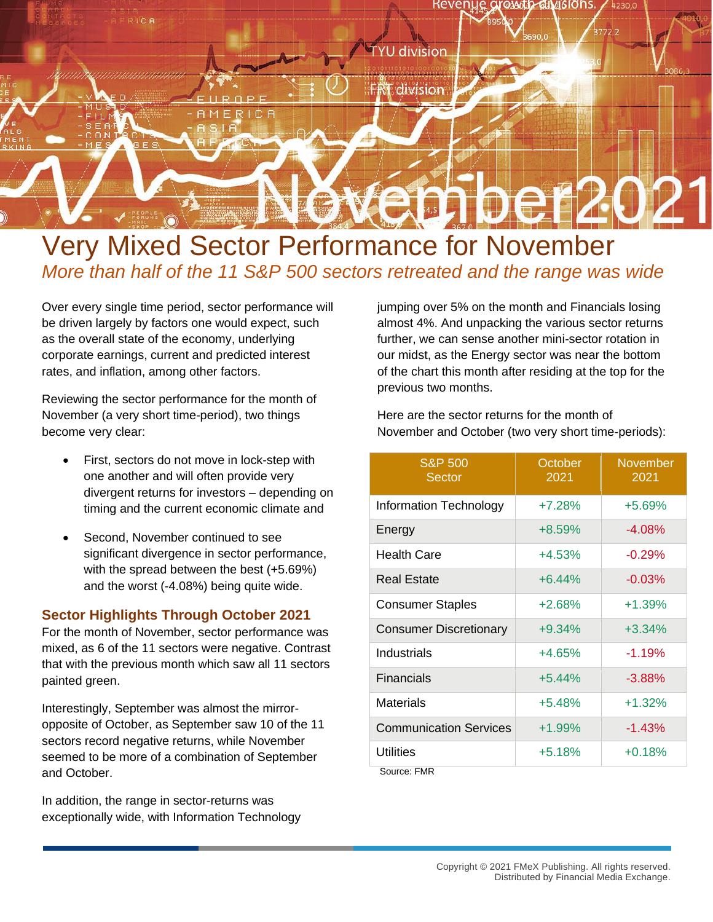

## Very Mixed Sector Performance for November *More than half of the 11 S&P 500 sectors retreated and the range was wide*

Over every single time period, sector performance will be driven largely by factors one would expect, such as the overall state of the economy, underlying corporate earnings, current and predicted interest rates, and inflation, among other factors.

Reviewing the sector performance for the month of November (a very short time-period), two things become very clear:

- First, sectors do not move in lock-step with one another and will often provide very divergent returns for investors – depending on timing and the current economic climate and
- Second, November continued to see significant divergence in sector performance, with the spread between the best (+5.69%) and the worst (-4.08%) being quite wide.

## **Sector Highlights Through October 2021**

For the month of November, sector performance was mixed, as 6 of the 11 sectors were negative. Contrast that with the previous month which saw all 11 sectors painted green.

Interestingly, September was almost the mirroropposite of October, as September saw 10 of the 11 sectors record negative returns, while November seemed to be more of a combination of September and October.

In addition, the range in sector-returns was exceptionally wide, with Information Technology jumping over 5% on the month and Financials losing almost 4%. And unpacking the various sector returns further, we can sense another mini-sector rotation in our midst, as the Energy sector was near the bottom of the chart this month after residing at the top for the previous two months.

Here are the sector returns for the month of November and October (two very short time-periods):

| <b>S&amp;P 500</b><br><b>Sector</b>            | October<br>2021 | <b>November</b><br>2021 |
|------------------------------------------------|-----------------|-------------------------|
| Information Technology                         | $+7.28%$        | $+5.69%$                |
| Energy                                         | $+8.59%$        | $-4.08%$                |
| <b>Health Care</b>                             | $+4.53%$        | $-0.29%$                |
| <b>Real Estate</b>                             | $+6.44%$        | $-0.03%$                |
| <b>Consumer Staples</b>                        | $+2.68%$        | $+1.39%$                |
| <b>Consumer Discretionary</b>                  | $+9.34%$        | $+3.34%$                |
| Industrials                                    | +4.65%          | $-1.19%$                |
| <b>Financials</b>                              | $+5.44%$        | $-3.88%$                |
| Materials                                      | $+5.48%$        | $+1.32%$                |
| <b>Communication Services</b>                  | $+1.99%$        | $-1.43%$                |
| Utilities<br>$C_{\text{All}}$ $C_{\text{All}}$ | $+5.18%$        | $+0.18%$                |

Source: FMR